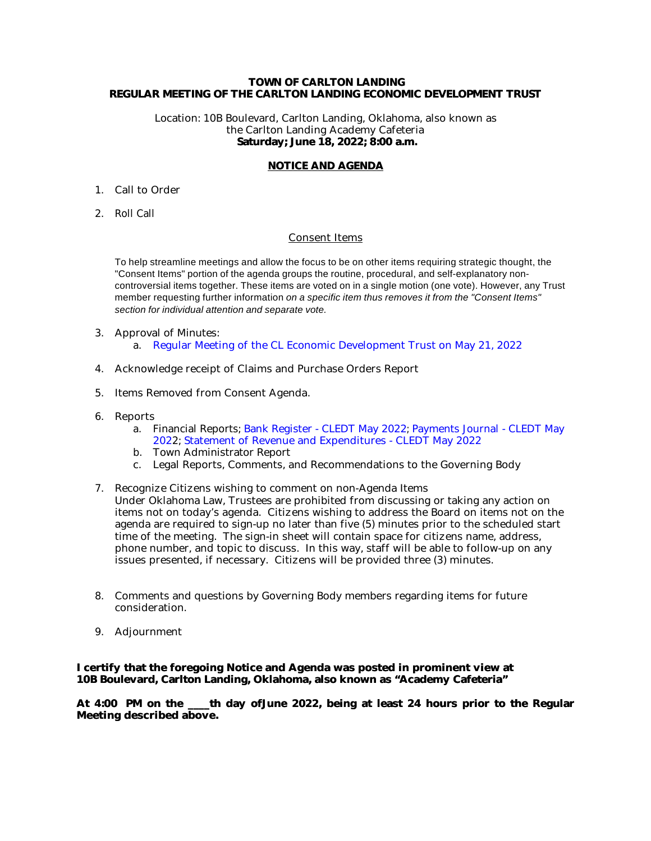#### **TOWN OF CARLTON LANDING REGULAR MEETING OF THE CARLTON LANDING ECONOMIC DEVELOPMENT TRUST**

Location: 10B Boulevard, Carlton Landing, Oklahoma, also known as the Carlton Landing Academy Cafeteria  **Saturday; June 18, 2022; 8:00 a.m.**

#### **NOTICE AND AGENDA**

- 1. Call to Order
- 2. Roll Call

#### Consent Items

To help streamline meetings and allow the focus to be on other items requiring strategic thought, the "Consent Items" portion of the agenda groups the routine, procedural, and self-explanatory noncontroversial items together. These items are voted on in a single motion (one vote). However, any Trust member requesting further information on a specific item thus removes it from the "Consent Items" section for individual attention and separate vote.

- 3. Approval of Minutes: a. [Regular Meeting of the CL Economic Development Trust on May 21, 2022](#page-2-0)
- 4. Acknowledge receipt of Claims and Purchase Orders Report
- 5. Items Removed from Consent Agenda.
- 6. Reports
	- a. Financial Reports; [Bank Register CLEDT May 2022](#page-7-0); [Payments Journal CLEDT May](#page-8-0) [202](#page-8-0)2; [Statement of Revenue and Expenditures - CLEDT May 2022](#page-9-0)
	- b. Town Administrator Report
	- c. Legal Reports, Comments, and Recommendations to the Governing Body
- 7. Recognize Citizens wishing to comment on non-Agenda Items Under Oklahoma Law, Trustees are prohibited from discussing or taking any action on items not on today's agenda. Citizens wishing to address the Board on items not on the agenda are required to sign-up no later than five (5) minutes prior to the scheduled start time of the meeting. The sign-in sheet will contain space for citizens name, address, phone number, and topic to discuss. In this way, staff will be able to follow-up on any issues presented, if necessary. Citizens will be provided three (3) minutes.
- 8. Comments and questions by Governing Body members regarding items for future consideration.
- 9. Adjournment

**I certify that the foregoing Notice and Agenda was posted in prominent view at 10B Boulevard, Carlton Landing, Oklahoma, also known as "Academy Cafeteria"** 

**At 4:00 PM on the \_\_\_\_th day ofJune 2022, being at least 24 hours prior to the Regular Meeting described above.**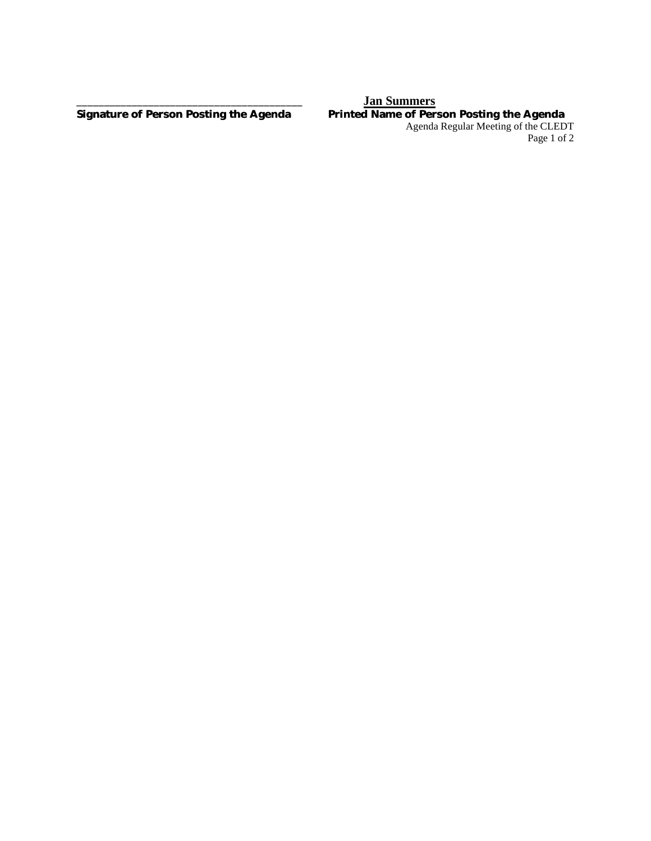#### **\_\_\_\_\_\_\_\_\_\_\_\_\_\_\_\_\_\_\_\_\_\_\_\_\_\_\_\_\_\_\_\_\_\_\_\_\_\_\_\_\_ Jan Summers Signature of Person Posting the Agenda Printed Name of Person Posting the Agenda** Agenda Regular Meeting of the CLEDT Page 1 of 2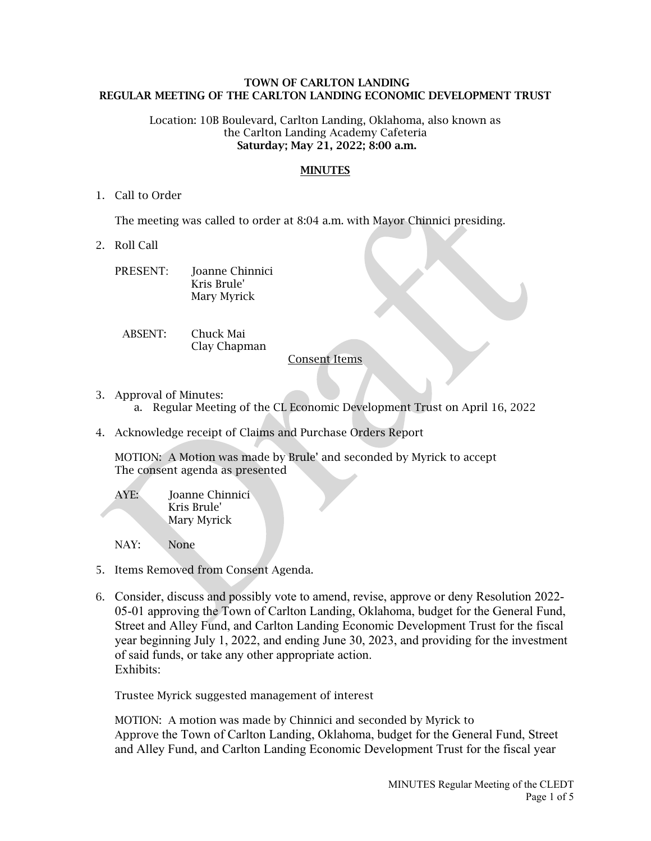#### <span id="page-2-0"></span> **TOWN OF CARLTON LANDING REGULAR MEETING OF THE CARLTON LANDING ECONOMIC DEVELOPMENT TRUST**

#### Location: 10B Boulevard, Carlton Landing, Oklahoma, also known as the Carlton Landing Academy Cafeteria  **Saturday; May 21, 2022; 8:00 a.m.**

#### **MINUTES**

### 1. Call to Order

The meeting was called to order at 8:04 a.m. with Mayor Chinnici presiding.

2. Roll Call

| PRESENT: | Joanne Chinnici |
|----------|-----------------|
|          | Kris Brule'     |
|          | Mary Myrick     |

ABSENT: Chuck Mai Clay Chapman

#### Consent Items

- 3. Approval of Minutes:
	- a. Regular Meeting of the CL Economic Development Trust on April 16, 2022
- 4. Acknowledge receipt of Claims and Purchase Orders Report

MOTION: A Motion was made by Brule' and seconded by Myrick to accept The consent agenda as presented

AYE: Joanne Chinnici Kris Brule' Mary Myrick

NAY: None

- 5. Items Removed from Consent Agenda.
- 6. Consider, discuss and possibly vote to amend, revise, approve or deny Resolution 2022- 05-01 approving the Town of Carlton Landing, Oklahoma, budget for the General Fund, Street and Alley Fund, and Carlton Landing Economic Development Trust for the fiscal year beginning July 1, 2022, and ending June 30, 2023, and providing for the investment of said funds, or take any other appropriate action. Exhibits:

Trustee Myrick suggested management of interest

MOTION: A motion was made by Chinnici and seconded by Myrick to Approve the Town of Carlton Landing, Oklahoma, budget for the General Fund, Street and Alley Fund, and Carlton Landing Economic Development Trust for the fiscal year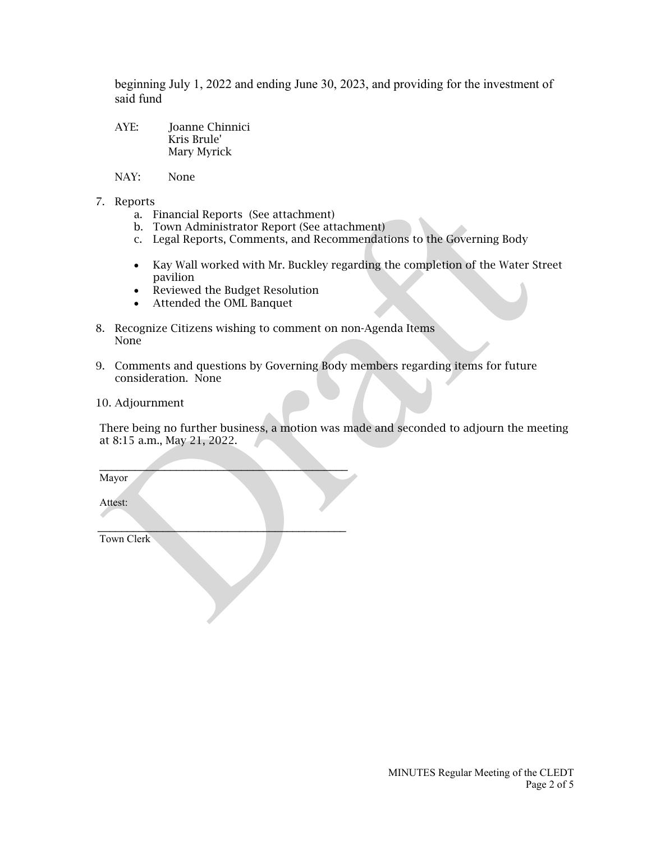beginning July 1, 2022 and ending June 30, 2023, and providing for the investment of said fund

- AYE: Joanne Chinnici Kris Brule' Mary Myrick
- NAY: None
- 7. Reports
	- a. Financial Reports (See attachment)
	- b. Town Administrator Report (See attachment)
	- c. Legal Reports, Comments, and Recommendations to the Governing Body
	- Kay Wall worked with Mr. Buckley regarding the completion of the Water Street pavilion
	- Reviewed the Budget Resolution

 $\mathcal{L}=\mathcal{L}=\mathcal{L}=\mathcal{L}=\mathcal{L}=\mathcal{L}=\mathcal{L}=\mathcal{L}=\mathcal{L}=\mathcal{L}=\mathcal{L}=\mathcal{L}=\mathcal{L}=\mathcal{L}=\mathcal{L}=\mathcal{L}=\mathcal{L}=\mathcal{L}=\mathcal{L}=\mathcal{L}=\mathcal{L}=\mathcal{L}=\mathcal{L}=\mathcal{L}=\mathcal{L}=\mathcal{L}=\mathcal{L}=\mathcal{L}=\mathcal{L}=\mathcal{L}=\mathcal{L}=\mathcal{L}=\mathcal{L}=\mathcal{L}=\mathcal{L}=\mathcal{L}=\mathcal{$ 

 $\mathcal{L}_\text{max}$  and  $\mathcal{L}_\text{max}$  and  $\mathcal{L}_\text{max}$  and  $\mathcal{L}_\text{max}$  and  $\mathcal{L}_\text{max}$ 

- Attended the OML Banquet
- 8. Recognize Citizens wishing to comment on non-Agenda Items None
- 9. Comments and questions by Governing Body members regarding items for future consideration. None
- 10. Adjournment

There being no further business, a motion was made and seconded to adjourn the meeting at 8:15 a.m., May 21, 2022.

Mayor

Attest:

Town Clerk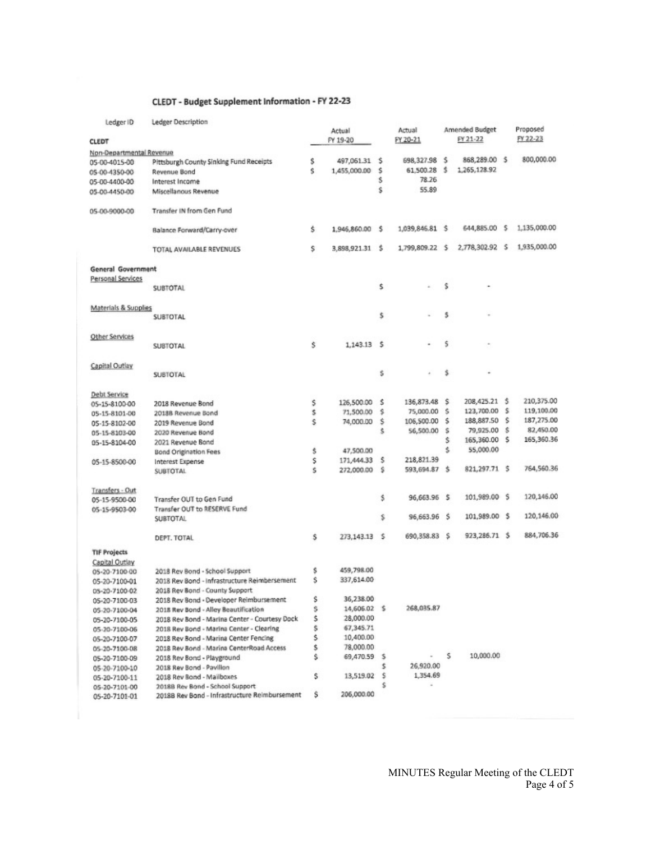## CLEDT - Budget Supplement Information - FY 22-23

| Ledger ID                 | Ledger Description                            |    |                 |    |                 |    |                |   |              |
|---------------------------|-----------------------------------------------|----|-----------------|----|-----------------|----|----------------|---|--------------|
|                           |                                               |    | Actual          |    | Actual          |    | Amended Budget |   | Proposed     |
| CLEDT                     |                                               |    | FY 19-20        |    | FY 20-21        |    | FY 21-22       |   | FY 22-23     |
| Non-Departmental Revenue  |                                               |    |                 |    |                 |    |                |   |              |
| 05-00-4015-00             | Pittsburgh County Sinking Fund Receipts       | \$ | 497,061.31      | -S | 698,327.98      | -S | 868,289.00 \$  |   | 800,000.00   |
| 05-00-4350-00             | Revenue Bond                                  | Ś  | 1,455,000.00    | \$ | 61,500.28       | .s | 1,265,128.92   |   |              |
| 05-00-4400-00             | Interest Income                               |    |                 | \$ | 78.26           |    |                |   |              |
| 05-00-4450-00             | Miscellanous Revenue                          |    |                 | \$ | 55.89           |    |                |   |              |
|                           |                                               |    |                 |    |                 |    |                |   |              |
|                           | Transfer IN from Gen Fund                     |    |                 |    |                 |    |                |   |              |
| 05-00-9000-00             |                                               |    |                 |    |                 |    |                |   |              |
|                           |                                               | Ś. | 1,946,860.00 \$ |    | 1,039,846.81 \$ |    | 644,885.00 \$  |   | 1,135,000.00 |
|                           | Balance Forward/Carry-over                    |    |                 |    |                 |    |                |   |              |
|                           |                                               |    |                 |    | 1,799,809.22 \$ |    | 2,778,302.92 S |   | 1,935,000.00 |
|                           | TOTAL AVAILABLE REVENUES                      | S  | 3,898,921.31 \$ |    |                 |    |                |   |              |
|                           |                                               |    |                 |    |                 |    |                |   |              |
| <b>General Government</b> |                                               |    |                 |    |                 |    |                |   |              |
| Personal Services         |                                               |    |                 |    |                 |    |                |   |              |
|                           | <b>SUBTOTAL</b>                               |    |                 | \$ |                 | \$ |                |   |              |
|                           |                                               |    |                 |    |                 |    |                |   |              |
| Materials & Supplies      |                                               |    |                 |    |                 |    |                |   |              |
|                           | SUBTOTAL                                      |    |                 | \$ |                 | \$ |                |   |              |
|                           |                                               |    |                 |    |                 |    |                |   |              |
| Other Services            |                                               |    |                 |    |                 |    |                |   |              |
|                           | <b>SUBTOTAL</b>                               | Ŝ. | 1,143.13 \$     |    |                 | s  |                |   |              |
|                           |                                               |    |                 |    |                 |    |                |   |              |
| Capital Outlay            |                                               |    |                 |    |                 |    |                |   |              |
|                           | <b>SUBTOTAL</b>                               |    |                 | \$ |                 | \$ |                |   |              |
|                           |                                               |    |                 |    |                 |    |                |   |              |
| Debt Service              |                                               |    |                 |    |                 |    |                |   |              |
| 05-15-8100-00             | 2018 Revenue Bond                             | \$ | 126,500.00      | s  | 136,873.48      | s  | 208,425.21 \$  |   | 210,375.00   |
| 05-15-8101-00             | 20188 Revenue Bond                            | \$ | 71,500.00       | s  | 75,000.00       | s  | 123,700.00     | s | 119,100.00   |
| 05-15-8102-00             | 2019 Revenue Bond                             | s  | 74,000.00       | Ś. | 106,500.00      | \$ | 188,887.50     | s | 187,275.00   |
| 05-15-8103-00             | 2020 Revenue Bond                             |    |                 | Ŝ  | 56,500.00       | s  | 79,925.00      | s | 82,450.00    |
| 05-15-8104-00             | 2021 Revenue Bond                             |    |                 |    |                 | Ś. | 165,360.00 \$  |   | 165,360.36   |
|                           | Bond Origination Fees                         | \$ | 47,500.00       |    |                 | Ś. | 55,000.00      |   |              |
| 05-15-8500-00             | Interest Expense                              | \$ | 171,444.33      | s  | 218,821.39      |    |                |   |              |
|                           | <b>SUBTOTAL</b>                               | Ś  | 272,000.00      | s  | 593,694.87 \$   |    | 821,297.71 \$  |   | 764,560.36   |
|                           |                                               |    |                 |    |                 |    |                |   |              |
| Transfers - Out           |                                               |    |                 |    |                 |    |                |   |              |
| 05-15-9500-00             | Transfer OUT to Gen Fund                      |    |                 | \$ | 96,663.96 \$    |    | 101,989.00 \$  |   | 120,146.00   |
| 05-15-9503-00             | Transfer OUT to RESERVE Fund                  |    |                 |    |                 |    |                |   |              |
|                           | <b>SUBTOTAL</b>                               |    |                 | \$ | 96,663.96 \$    |    | 101,989.00 \$  |   | 120,146.00   |
|                           |                                               |    |                 |    |                 |    |                |   |              |
|                           | DEPT. TOTAL                                   | Ś. | 273.143.13 \$   |    | 690,358.83      | -S | 923,286.71 \$  |   | 884,706.36   |
|                           |                                               |    |                 |    |                 |    |                |   |              |
| <b>TIF Projects</b>       |                                               |    |                 |    |                 |    |                |   |              |
| Capital Outlay            |                                               |    |                 |    |                 |    |                |   |              |
| 05-20-7100-00             | 2018 Rev Bond - School Support                | \$ | 459,798.00      |    |                 |    |                |   |              |
| 05-20-7100-01             | 2018 Rev Bond - Infrastructure Reimbersement  | Ś  | 337,614.00      |    |                 |    |                |   |              |
| 05-20-7100-02             | 2018 Rev Bond - County Support                |    |                 |    |                 |    |                |   |              |
| 05-20-7100-03             | 2018 Rev Bond - Developer Reimbursement       | \$ | 36,238.00       |    |                 |    |                |   |              |
| 05-20-7100-04             | 2018 Rev Bond - Alley Beautification          | s  | 14,606.02 \$    |    | 268,035.87      |    |                |   |              |
| 05-20-7100-05             | 2018 Rev Bond - Marina Center - Courtesy Dock | \$ | 28,000.00       |    |                 |    |                |   |              |
| 05-20-7100-06             | 2018 Rev Bond - Marina Center - Clearing      | \$ | 67,345.71       |    |                 |    |                |   |              |
| 05-20-7100-07             | 2018 Rev Bond - Marina Center Fencing         | \$ | 10,400.00       |    |                 |    |                |   |              |
| 05-20-7100-08             | 2018 Rev Bond - Marina CenterRoad Access      | \$ | 78,000.00       |    |                 |    |                |   |              |
| 05-20-7100-09             | 2018 Rev Bond - Playground                    | \$ | 69,470.59 \$    |    |                 | s  | 10,000.00      |   |              |
| 05-20-7100-10             | 2018 Rev Bond - Pavilion                      |    |                 | \$ | 26,920.00       |    |                |   |              |
| 05-20-7100-11             | 2018 Rev Bond - Mailboxes                     | \$ | 13,519.02       | s  | 1,354.69        |    |                |   |              |
| 05-20-7101-00             | 2018B Rev Bond - School Support               |    |                 | s  |                 |    |                |   |              |
| 05-20-7101-01             | 2018B Rev Bond - Infrastructure Reimbursement | \$ | 206,000.00      |    |                 |    |                |   |              |
|                           |                                               |    |                 |    |                 |    |                |   |              |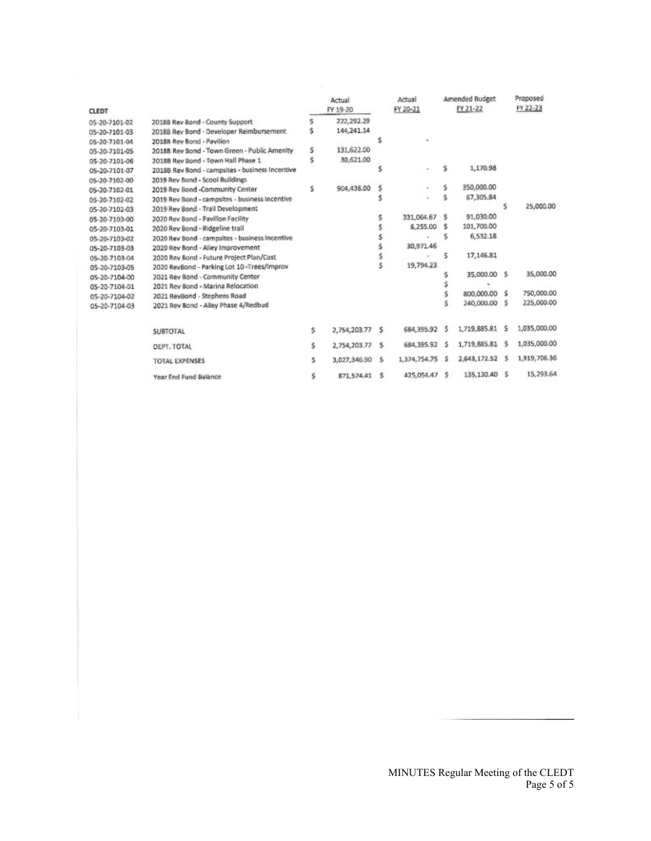| <b>CLEDT</b>  |                                                 |    | Actual<br>FY 19-20 | Actual<br>FY 20-21 |               | Amended Budget<br>FY 21-22 |                | Proposed<br>FY 22-23 |              |
|---------------|-------------------------------------------------|----|--------------------|--------------------|---------------|----------------------------|----------------|----------------------|--------------|
| 05-20-7101-02 | 20188 Rev Bond - County Support                 | Ś. | 222, 292.29        |                    |               |                            |                |                      |              |
| 05-20-7101-03 | 2018B Rev Bond - Developer Reimbursement        |    | 144,241.14         |                    |               |                            |                |                      |              |
| 05-20-7101-04 | 2018B Rev Bond - Pavilion                       |    |                    |                    |               |                            |                |                      |              |
| 05-20-7101-05 | 2018B Rev Bond - Town Green - Public Amenity    | Ŝ  | 131,622.00         |                    |               |                            |                |                      |              |
| 05-20-7101-06 | 2018B Rev Bond - Town Hall Phase 1              | Ś  | 30,621.00          |                    |               |                            |                |                      |              |
| 05-20-7101-07 | 2018B Rev Bond - campsites - business Incentive |    |                    | s                  |               | s                          | 1,170.98       |                      |              |
| 05-20-7102-00 | 2019 Rev Bond - Scool Buildings                 |    |                    |                    |               |                            |                |                      |              |
| 05-20-7102-01 | 2019 Rev Bond -Community Center                 | Ŝ  | 904,436.00         | s                  |               | s                          | 350,000.00     |                      |              |
| 05-20-7102-02 | 2019 Rev Bond - campsites - business Incentive  |    |                    |                    |               | s                          | 67,305.84      |                      |              |
| 05-20-7102-03 | 2019 Rev Bond - Trail Development               |    |                    |                    |               |                            |                | s                    | 25,000.00    |
| 05-20-7103-00 | 2020 Rev Bond - Pavilion Facility               |    |                    |                    | 331,064.67 \$ |                            | 91,030.00      |                      |              |
| 05-20-7103-01 | 2020 Rev Bond - Ridgeline trail                 |    |                    |                    | 6,255.00 \$   |                            | 101,700.00     |                      |              |
| 05-20-7103-02 | 2020 Rev Bond - campsites - business Incentive  |    |                    |                    |               | s                          | 6,532.18       |                      |              |
| 05-20-7103-03 | 2020 Rev Bond - Alley Improvement               |    |                    |                    | 30,971.46     |                            |                |                      |              |
| 05-20-7103-04 | 2020 Rev Bond - Future Project Plan/Cost        |    |                    |                    |               | ŝ                          | 17,146.81      |                      |              |
| 05-20-7103-05 | 2020 RevBond - Parking Lot 10-Trees/Improv      |    |                    | Ś                  | 19,794.23     |                            |                |                      |              |
| 05-20-7104-00 | 2021 Rev Bond - Community Center                |    |                    |                    |               |                            | 35,000.00 \$   |                      | 35,000.00    |
| 05-20-7104-01 | 2021 Rev Bond - Marina Relocation               |    |                    |                    |               | s                          | $\blacksquare$ |                      |              |
| 05-20-7104-02 | 2021 RevBond - Stephens Road                    |    |                    |                    |               |                            | 800,000.00     | s.                   | 750,000.00   |
| 05-20-7104-03 | 2021 Rev Bond - Alley Phase 4/Redbud            |    |                    |                    |               |                            | 240,000.00     | s                    | 225,000.00   |
|               | <b>SUBTOTAL</b>                                 | Ś. | 2,754,203.77       | s                  | 684,395.92 \$ |                            | 1,719,885.81   | s                    | 1,035,000.00 |
|               | DEPT. TOTAL                                     | Ŝ. | 2,754,203.77       | -S                 | 684,395.92 \$ |                            | 1,719,885.81   | s                    | 1,035,000.00 |
|               | <b>TOTAL EXPENSES</b>                           | s  | 3,027,346.90       | s                  | 1,374,754.75  | s                          | 2,643,172.52   | s                    | 1,919,706.36 |
|               | Year End Fund Balance                           | s  | 871, 574.41        | ŝ                  | 425,054.47 \$ |                            | 135,130.40 \$  |                      | 15,293.64    |

MINUTES Regular Meeting of the CLEDT Page 5 of 5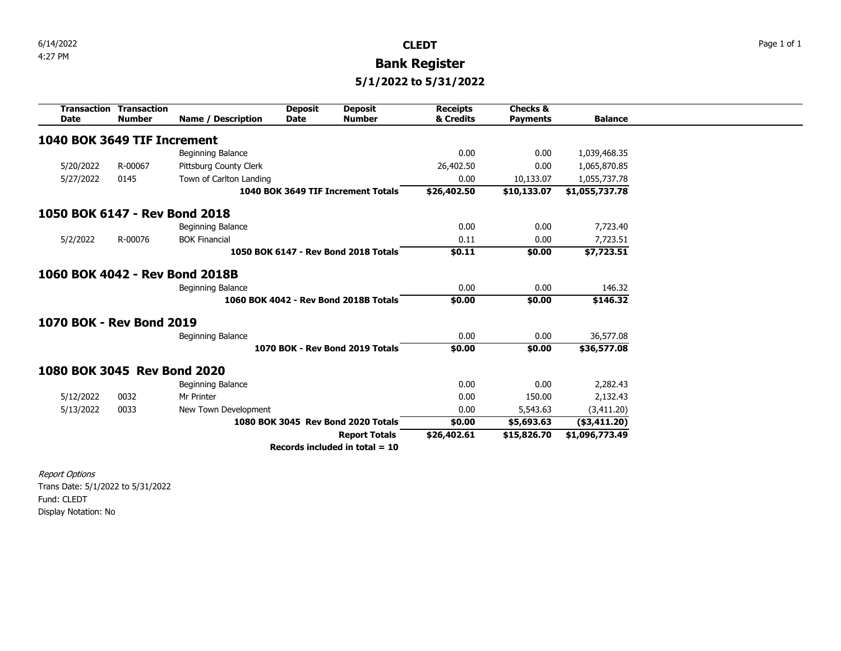4:27 PM **Bank Register**

**5/1/2022 to 5/31/2022**

<span id="page-7-0"></span>

|                                | <b>Transaction Transaction</b> |                         | <b>Deposit</b> | <b>Deposit</b>                        | <b>Receipts</b> | <b>Checks &amp;</b> |                 |
|--------------------------------|--------------------------------|-------------------------|----------------|---------------------------------------|-----------------|---------------------|-----------------|
| <b>Date</b>                    | <b>Number</b>                  | Name / Description      | <b>Date</b>    | <b>Number</b>                         | & Credits       | <b>Payments</b>     | <b>Balance</b>  |
| 1040 BOK 3649 TIF Increment    |                                |                         |                |                                       |                 |                     |                 |
|                                |                                | Beginning Balance       |                |                                       | 0.00            | 0.00                | 1,039,468.35    |
| 5/20/2022                      | R-00067                        | Pittsburg County Clerk  |                |                                       | 26,402.50       | 0.00                | 1,065,870.85    |
|                                |                                |                         |                |                                       |                 |                     |                 |
| 5/27/2022                      | 0145                           | Town of Carlton Landing |                |                                       | 0.00            | 10,133.07           | 1,055,737.78    |
|                                |                                |                         |                | 1040 BOK 3649 TIF Increment Totals    | \$26,402.50     | \$10,133.07         | \$1,055,737.78  |
| 1050 BOK 6147 - Rev Bond 2018  |                                |                         |                |                                       |                 |                     |                 |
|                                |                                | Beginning Balance       |                |                                       | 0.00            | 0.00                | 7,723.40        |
| 5/2/2022                       | R-00076                        | <b>BOK Financial</b>    |                |                                       | 0.11            | 0.00                | 7,723.51        |
|                                |                                |                         |                | 1050 BOK 6147 - Rev Bond 2018 Totals  | \$0.11          | \$0.00              | \$7,723.51      |
| 1060 BOK 4042 - Rev Bond 2018B |                                |                         |                |                                       |                 |                     |                 |
|                                |                                | Beginning Balance       |                |                                       | 0.00            | 0.00                | 146.32          |
|                                |                                |                         |                | 1060 BOK 4042 - Rev Bond 2018B Totals | \$0.00          | \$0.00              | \$146.32        |
| 1070 BOK - Rev Bond 2019       |                                |                         |                |                                       |                 |                     |                 |
|                                |                                | Beginning Balance       |                |                                       | 0.00            | 0.00                | 36,577.08       |
|                                |                                |                         |                | 1070 BOK - Rev Bond 2019 Totals       | \$0.00          | \$0.00              | \$36,577.08     |
| 1080 BOK 3045 Rev Bond 2020    |                                |                         |                |                                       |                 |                     |                 |
|                                |                                | Beginning Balance       |                |                                       | 0.00            | 0.00                | 2,282.43        |
| 5/12/2022                      | 0032                           | Mr Printer              |                |                                       | 0.00            | 150.00              | 2,132.43        |
| 5/13/2022                      | 0033                           | New Town Development    |                |                                       | 0.00            | 5,543.63            | (3,411.20)      |
|                                |                                |                         |                | 1080 BOK 3045 Rev Bond 2020 Totals    | \$0.00          | \$5,693.63          | $($ \$3,411.20) |
|                                |                                |                         |                | <b>Report Totals</b>                  | \$26,402.61     | \$15,826.70         | \$1,096,773.49  |
|                                |                                |                         |                | Records included in total $= 10$      |                 |                     |                 |

Report Options Trans Date: 5/1/2022 to 5/31/2022 Fund: CLEDT Display Notation: No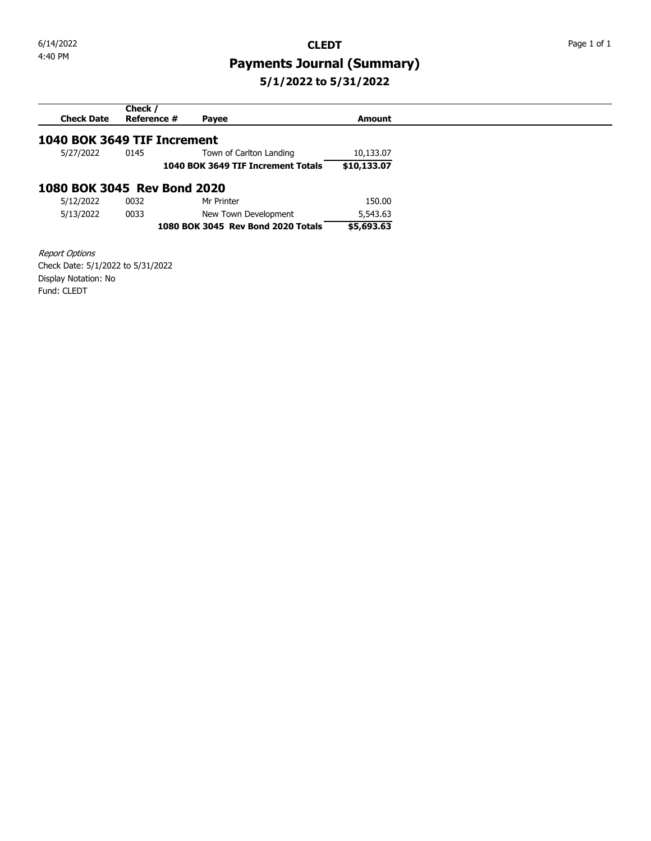# <span id="page-8-0"></span>4:40 PM **Payments Journal (Summary) 5/1/2022 to 5/31/2022**

# **Check Date Check / Reference # Payee Amount 1040 BOK 3649 TIF Increment**<br>5/27/2022 0145 Town Town of Carlton Landing [10,133.07](edittrans:2147466403) **1040 BOK 3649 TIF Increment Totals \$10,133.07 1080 BOK 3045 Rev Bond 2020** [5/12/2022](edittrans:2147466360) [0032 Mr Printer](edittrans:2147466360) [150.00](edittrans:2147466360) [5/13/2022](edittrans:2147466359) [0033 New Town Development](edittrans:2147466359) [5,543.63](edittrans:2147466359) **1080 BOK 3045 Rev Bond 2020 Totals \$5,693.63**

Report Options Check Date: 5/1/2022 to 5/31/2022 Display Notation: No Fund: CLEDT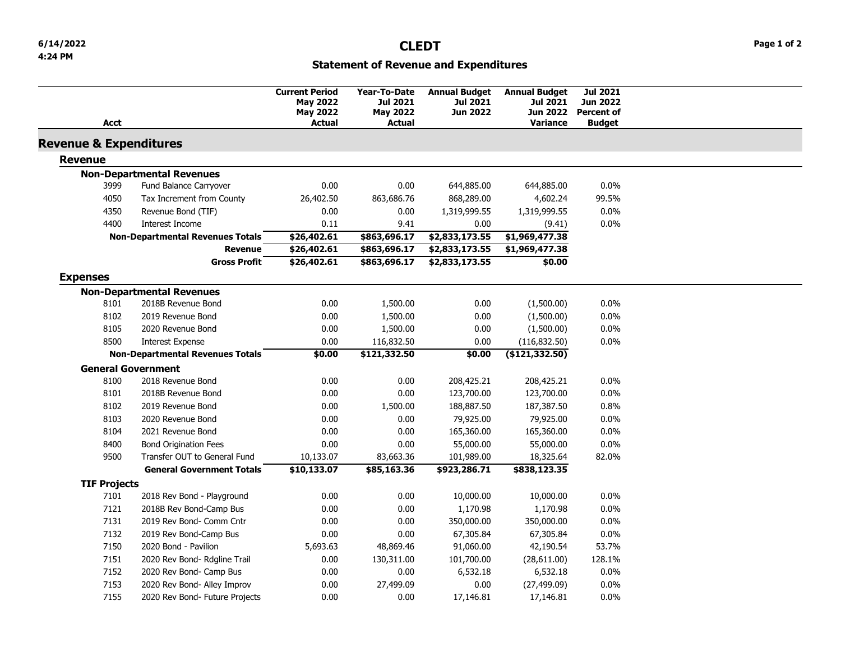# **Statement of Revenue and Expenditures**

<span id="page-9-0"></span>

| Acct                              |                                         | <b>Current Period</b><br><b>May 2022</b><br><b>May 2022</b><br><b>Actual</b> | Year-To-Date<br><b>Jul 2021</b><br><b>May 2022</b><br><b>Actual</b> | <b>Annual Budget</b><br><b>Jul 2021</b><br><b>Jun 2022</b> | <b>Annual Budget</b><br><b>Jul 2021</b><br><b>Jun 2022</b><br><b>Variance</b> | <b>Jul 2021</b><br><b>Jun 2022</b><br><b>Percent of</b><br><b>Budget</b> |  |
|-----------------------------------|-----------------------------------------|------------------------------------------------------------------------------|---------------------------------------------------------------------|------------------------------------------------------------|-------------------------------------------------------------------------------|--------------------------------------------------------------------------|--|
| <b>Revenue &amp; Expenditures</b> |                                         |                                                                              |                                                                     |                                                            |                                                                               |                                                                          |  |
| <b>Revenue</b>                    |                                         |                                                                              |                                                                     |                                                            |                                                                               |                                                                          |  |
|                                   | <b>Non-Departmental Revenues</b>        |                                                                              |                                                                     |                                                            |                                                                               |                                                                          |  |
| 3999                              | Fund Balance Carryover                  | 0.00                                                                         | 0.00                                                                | 644,885.00                                                 | 644,885.00                                                                    | 0.0%                                                                     |  |
| 4050                              | Tax Increment from County               | 26,402.50                                                                    | 863,686.76                                                          | 868,289.00                                                 | 4,602.24                                                                      | 99.5%                                                                    |  |
| 4350                              | Revenue Bond (TIF)                      | 0.00                                                                         | 0.00                                                                | 1,319,999.55                                               | 1,319,999.55                                                                  | 0.0%                                                                     |  |
| 4400                              | <b>Interest Income</b>                  | 0.11                                                                         | 9.41                                                                | 0.00                                                       | (9.41)                                                                        | 0.0%                                                                     |  |
|                                   | <b>Non-Departmental Revenues Totals</b> | \$26,402.61                                                                  | \$863,696.17                                                        | \$2,833,173.55                                             | \$1,969,477.38                                                                |                                                                          |  |
|                                   | <b>Revenue</b>                          | \$26,402.61                                                                  | \$863,696.17                                                        | \$2,833,173.55                                             | \$1,969,477.38                                                                |                                                                          |  |
|                                   | <b>Gross Profit</b>                     | \$26,402.61                                                                  | \$863,696.17                                                        | \$2,833,173.55                                             | \$0.00                                                                        |                                                                          |  |
| <b>Expenses</b>                   |                                         |                                                                              |                                                                     |                                                            |                                                                               |                                                                          |  |
|                                   | <b>Non-Departmental Revenues</b>        |                                                                              |                                                                     |                                                            |                                                                               |                                                                          |  |
| 8101                              | 2018B Revenue Bond                      | 0.00                                                                         | 1,500.00                                                            | 0.00                                                       | (1,500.00)                                                                    | 0.0%                                                                     |  |
| 8102                              | 2019 Revenue Bond                       | 0.00                                                                         | 1,500.00                                                            | 0.00                                                       | (1,500.00)                                                                    | 0.0%                                                                     |  |
| 8105                              | 2020 Revenue Bond                       | 0.00                                                                         | 1,500.00                                                            | 0.00                                                       | (1,500.00)                                                                    | 0.0%                                                                     |  |
| 8500                              | <b>Interest Expense</b>                 | 0.00                                                                         | 116,832.50                                                          | 0.00                                                       | (116, 832.50)                                                                 | 0.0%                                                                     |  |
|                                   | <b>Non-Departmental Revenues Totals</b> | \$0.00                                                                       | \$121,332.50                                                        | \$0.00                                                     | (\$121,332.50)                                                                |                                                                          |  |
|                                   | <b>General Government</b>               |                                                                              |                                                                     |                                                            |                                                                               |                                                                          |  |
| 8100                              | 2018 Revenue Bond                       | 0.00                                                                         | 0.00                                                                | 208,425.21                                                 | 208,425.21                                                                    | 0.0%                                                                     |  |
| 8101                              | 2018B Revenue Bond                      | 0.00                                                                         | 0.00                                                                | 123,700.00                                                 | 123,700.00                                                                    | 0.0%                                                                     |  |
| 8102                              | 2019 Revenue Bond                       | 0.00                                                                         | 1,500.00                                                            | 188,887.50                                                 | 187,387.50                                                                    | 0.8%                                                                     |  |
| 8103                              | 2020 Revenue Bond                       | 0.00                                                                         | 0.00                                                                | 79,925.00                                                  | 79,925.00                                                                     | 0.0%                                                                     |  |
| 8104                              | 2021 Revenue Bond                       | 0.00                                                                         | 0.00                                                                | 165,360.00                                                 | 165,360.00                                                                    | 0.0%                                                                     |  |
| 8400                              | <b>Bond Origination Fees</b>            | 0.00                                                                         | 0.00                                                                | 55,000.00                                                  | 55,000.00                                                                     | 0.0%                                                                     |  |
| 9500                              | Transfer OUT to General Fund            | 10,133.07                                                                    | 83,663.36                                                           | 101,989.00                                                 | 18,325.64                                                                     | 82.0%                                                                    |  |
|                                   | <b>General Government Totals</b>        | \$10,133.07                                                                  | \$85,163.36                                                         | \$923,286.71                                               | \$838,123.35                                                                  |                                                                          |  |
| <b>TIF Projects</b>               |                                         |                                                                              |                                                                     |                                                            |                                                                               |                                                                          |  |
| 7101                              | 2018 Rev Bond - Playground              | 0.00                                                                         | 0.00                                                                | 10,000.00                                                  | 10,000.00                                                                     | 0.0%                                                                     |  |
| 7121                              | 2018B Rev Bond-Camp Bus                 | 0.00                                                                         | 0.00                                                                | 1,170.98                                                   | 1,170.98                                                                      | 0.0%                                                                     |  |
| 7131                              | 2019 Rev Bond- Comm Cntr                | 0.00                                                                         | 0.00                                                                | 350,000.00                                                 | 350,000.00                                                                    | 0.0%                                                                     |  |
| 7132                              | 2019 Rev Bond-Camp Bus                  | 0.00                                                                         | 0.00                                                                | 67,305.84                                                  | 67,305.84                                                                     | 0.0%                                                                     |  |
| 7150                              | 2020 Bond - Pavilion                    | 5,693.63                                                                     | 48,869.46                                                           | 91,060.00                                                  | 42,190.54                                                                     | 53.7%                                                                    |  |
| 7151                              | 2020 Rev Bond- Rdgline Trail            | 0.00                                                                         | 130,311.00                                                          | 101,700.00                                                 | (28,611.00)                                                                   | 128.1%                                                                   |  |
| 7152                              | 2020 Rev Bond- Camp Bus                 | 0.00                                                                         | 0.00                                                                | 6,532.18                                                   | 6,532.18                                                                      | 0.0%                                                                     |  |
| 7153                              | 2020 Rev Bond- Alley Improv             | 0.00                                                                         | 27,499.09                                                           | 0.00                                                       | (27, 499.09)                                                                  | 0.0%                                                                     |  |
| 7155                              | 2020 Rev Bond- Future Projects          | 0.00                                                                         | 0.00                                                                | 17,146.81                                                  | 17,146.81                                                                     | 0.0%                                                                     |  |